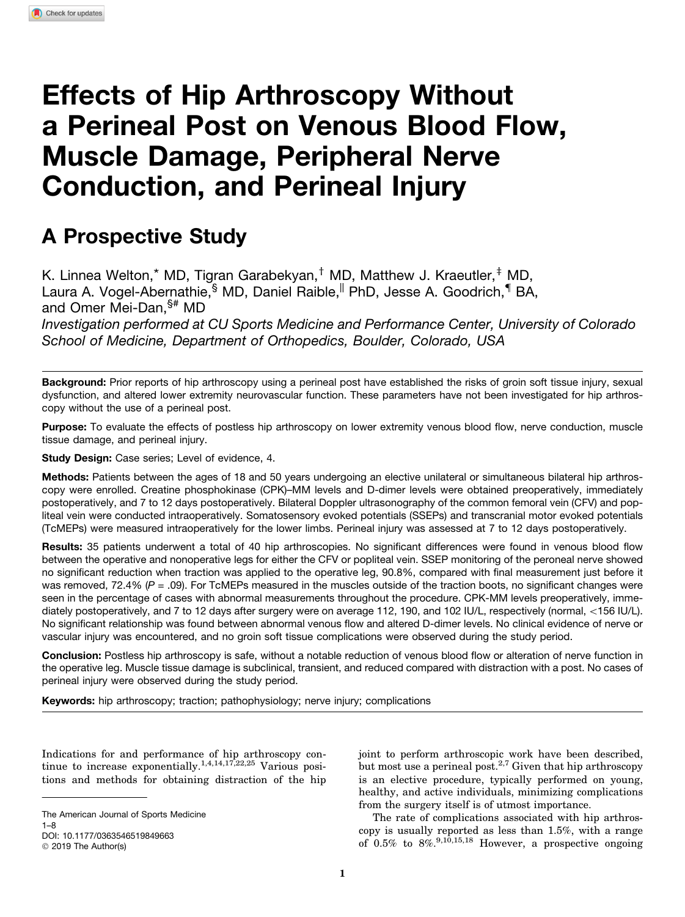# Effects of Hip Arthroscopy Without a Perineal Post on Venous Blood Flow, Muscle Damage, Peripheral Nerve Conduction, and Perineal Injury

# A Prospective Study

K. Linnea Welton,\* MD, Tigran Garabekyan, $^{\dagger}$  MD, Matthew J. Kraeutler, $^{\dagger}$  MD, Laura A. Vogel-Abernathie,<sup>§</sup> MD, Daniel Raible,<sup>||</sup> PhD, Jesse A. Goodrich,<sup>¶</sup> BA, and Omer Mei-Dan,§# MD *Investigation performed at CU Sports Medicine and Performance Center, University of Colorado*

*School of Medicine, Department of Orthopedics, Boulder, Colorado, USA*

Background: Prior reports of hip arthroscopy using a perineal post have established the risks of groin soft tissue injury, sexual dysfunction, and altered lower extremity neurovascular function. These parameters have not been investigated for hip arthroscopy without the use of a perineal post.

Purpose: To evaluate the effects of postless hip arthroscopy on lower extremity venous blood flow, nerve conduction, muscle tissue damage, and perineal injury.

Study Design: Case series; Level of evidence, 4.

Methods: Patients between the ages of 18 and 50 years undergoing an elective unilateral or simultaneous bilateral hip arthroscopy were enrolled. Creatine phosphokinase (CPK)–MM levels and D-dimer levels were obtained preoperatively, immediately postoperatively, and 7 to 12 days postoperatively. Bilateral Doppler ultrasonography of the common femoral vein (CFV) and popliteal vein were conducted intraoperatively. Somatosensory evoked potentials (SSEPs) and transcranial motor evoked potentials (TcMEPs) were measured intraoperatively for the lower limbs. Perineal injury was assessed at 7 to 12 days postoperatively.

Results: 35 patients underwent a total of 40 hip arthroscopies. No significant differences were found in venous blood flow between the operative and nonoperative legs for either the CFV or popliteal vein. SSEP monitoring of the peroneal nerve showed no significant reduction when traction was applied to the operative leg, 90.8%, compared with final measurement just before it was removed, 72.4% ( $P = .09$ ). For TcMEPs measured in the muscles outside of the traction boots, no significant changes were seen in the percentage of cases with abnormal measurements throughout the procedure. CPK-MM levels preoperatively, immediately postoperatively, and 7 to 12 days after surgery were on average 112, 190, and 102 IU/L, respectively (normal, <156 IU/L). No significant relationship was found between abnormal venous flow and altered D-dimer levels. No clinical evidence of nerve or vascular injury was encountered, and no groin soft tissue complications were observed during the study period.

Conclusion: Postless hip arthroscopy is safe, without a notable reduction of venous blood flow or alteration of nerve function in the operative leg. Muscle tissue damage is subclinical, transient, and reduced compared with distraction with a post. No cases of perineal injury were observed during the study period.

Keywords: hip arthroscopy; traction; pathophysiology; nerve injury; complications

Indications for and performance of hip arthroscopy continue to increase exponentially.<sup>1,4,14,17,22,25</sup> Various positions and methods for obtaining distraction of the hip

© 2019 The Author(s)

joint to perform arthroscopic work have been described, but most use a perineal post.<sup>2,7</sup> Given that hip arthroscopy is an elective procedure, typically performed on young, healthy, and active individuals, minimizing complications from the surgery itself is of utmost importance.

The rate of complications associated with hip arthroscopy is usually reported as less than 1.5%, with a range of  $0.5\%$  to  $8\%$ <sup>9,10,15,18</sup> However, a prospective ongoing

The American Journal of Sports Medicine 1–8 DOI: 10.1177/0363546519849663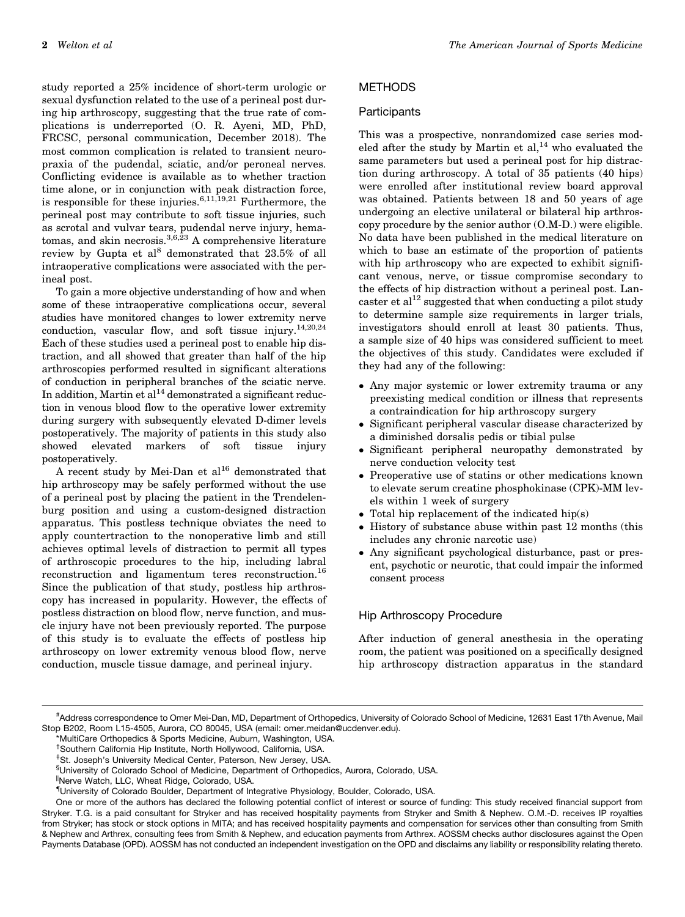study reported a 25% incidence of short-term urologic or sexual dysfunction related to the use of a perineal post during hip arthroscopy, suggesting that the true rate of complications is underreported (O. R. Ayeni, MD, PhD, FRCSC, personal communication, December 2018). The most common complication is related to transient neuropraxia of the pudendal, sciatic, and/or peroneal nerves. Conflicting evidence is available as to whether traction time alone, or in conjunction with peak distraction force, is responsible for these injuries.<sup>6,11,19,21</sup> Furthermore, the perineal post may contribute to soft tissue injuries, such as scrotal and vulvar tears, pudendal nerve injury, hematomas, and skin necrosis.<sup>3,6,23</sup> A comprehensive literature review by Gupta et al<sup>8</sup> demonstrated that 23.5% of all intraoperative complications were associated with the perineal post.

To gain a more objective understanding of how and when some of these intraoperative complications occur, several studies have monitored changes to lower extremity nerve conduction, vascular flow, and soft tissue injury.<sup>14,20,24</sup> Each of these studies used a perineal post to enable hip distraction, and all showed that greater than half of the hip arthroscopies performed resulted in significant alterations of conduction in peripheral branches of the sciatic nerve. In addition, Martin et  $al<sup>14</sup>$  demonstrated a significant reduction in venous blood flow to the operative lower extremity during surgery with subsequently elevated D-dimer levels postoperatively. The majority of patients in this study also showed elevated markers of soft tissue injury postoperatively.

A recent study by Mei-Dan et  $al^{16}$  demonstrated that hip arthroscopy may be safely performed without the use of a perineal post by placing the patient in the Trendelenburg position and using a custom-designed distraction apparatus. This postless technique obviates the need to apply countertraction to the nonoperative limb and still achieves optimal levels of distraction to permit all types of arthroscopic procedures to the hip, including labral reconstruction and ligamentum teres reconstruction.<sup>16</sup> Since the publication of that study, postless hip arthroscopy has increased in popularity. However, the effects of postless distraction on blood flow, nerve function, and muscle injury have not been previously reported. The purpose of this study is to evaluate the effects of postless hip arthroscopy on lower extremity venous blood flow, nerve conduction, muscle tissue damage, and perineal injury.

# METHODS

#### **Participants**

This was a prospective, nonrandomized case series modeled after the study by Martin et  $al,^{14}$  who evaluated the same parameters but used a perineal post for hip distraction during arthroscopy. A total of 35 patients (40 hips) were enrolled after institutional review board approval was obtained. Patients between 18 and 50 years of age undergoing an elective unilateral or bilateral hip arthroscopy procedure by the senior author (O.M-D.) were eligible. No data have been published in the medical literature on which to base an estimate of the proportion of patients with hip arthroscopy who are expected to exhibit significant venous, nerve, or tissue compromise secondary to the effects of hip distraction without a perineal post. Lancaster et al<sup>12</sup> suggested that when conducting a pilot study to determine sample size requirements in larger trials, investigators should enroll at least 30 patients. Thus, a sample size of 40 hips was considered sufficient to meet the objectives of this study. Candidates were excluded if they had any of the following:

- Any major systemic or lower extremity trauma or any preexisting medical condition or illness that represents a contraindication for hip arthroscopy surgery
- $\bullet$  Significant peripheral vascular disease characterized by a diminished dorsalis pedis or tibial pulse
- Significant peripheral neuropathy demonstrated by nerve conduction velocity test
- Preoperative use of statins or other medications known to elevate serum creatine phosphokinase (CPK)-MM levels within 1 week of surgery
- Total hip replacement of the indicated hip(s)
- History of substance abuse within past 12 months (this includes any chronic narcotic use)
- Any significant psychological disturbance, past or present, psychotic or neurotic, that could impair the informed consent process

# Hip Arthroscopy Procedure

After induction of general anesthesia in the operating room, the patient was positioned on a specifically designed hip arthroscopy distraction apparatus in the standard

<sup>#</sup> Address correspondence to Omer Mei-Dan, MD, Department of Orthopedics, University of Colorado School of Medicine, 12631 East 17th Avenue, Mail Stop B202, Room L15-4505, Aurora, CO 80045, USA (email: omer.meidan@ucdenver.edu).

<sup>\*</sup>MultiCare Orthopedics & Sports Medicine, Auburn, Washington, USA.

<sup>&</sup>lt;sup>†</sup>Southern California Hip Institute, North Hollywood, California, USA.

<sup>&</sup>lt;sup>‡</sup>St. Joseph's University Medical Center, Paterson, New Jersey, USA.

<sup>§</sup> University of Colorado School of Medicine, Department of Orthopedics, Aurora, Colorado, USA.

<sup>||</sup>Nerve Watch, LLC, Wheat Ridge, Colorado, USA.

<sup>{</sup> University of Colorado Boulder, Department of Integrative Physiology, Boulder, Colorado, USA.

One or more of the authors has declared the following potential conflict of interest or source of funding: This study received financial support from Stryker. T.G. is a paid consultant for Stryker and has received hospitality payments from Stryker and Smith & Nephew. O.M.-D. receives IP royalties from Stryker; has stock or stock options in MITA; and has received hospitality payments and compensation for services other than consulting from Smith & Nephew and Arthrex, consulting fees from Smith & Nephew, and education payments from Arthrex. AOSSM checks author disclosures against the Open Payments Database (OPD). AOSSM has not conducted an independent investigation on the OPD and disclaims any liability or responsibility relating thereto.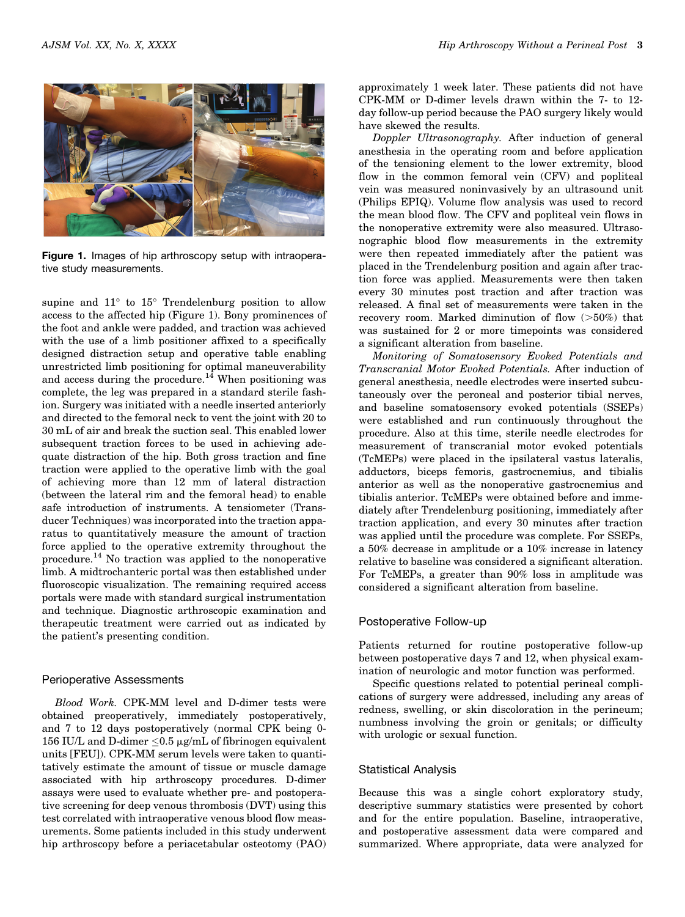

Figure 1. Images of hip arthroscopy setup with intraoperative study measurements.

supine and  $11^{\circ}$  to  $15^{\circ}$  Trendelenburg position to allow access to the affected hip (Figure 1). Bony prominences of the foot and ankle were padded, and traction was achieved with the use of a limb positioner affixed to a specifically designed distraction setup and operative table enabling unrestricted limb positioning for optimal maneuverability and access during the procedure.<sup>14</sup> When positioning was complete, the leg was prepared in a standard sterile fashion. Surgery was initiated with a needle inserted anteriorly and directed to the femoral neck to vent the joint with 20 to 30 mL of air and break the suction seal. This enabled lower subsequent traction forces to be used in achieving adequate distraction of the hip. Both gross traction and fine traction were applied to the operative limb with the goal of achieving more than 12 mm of lateral distraction (between the lateral rim and the femoral head) to enable safe introduction of instruments. A tensiometer (Transducer Techniques) was incorporated into the traction apparatus to quantitatively measure the amount of traction force applied to the operative extremity throughout the procedure.<sup>14</sup> No traction was applied to the nonoperative limb. A midtrochanteric portal was then established under fluoroscopic visualization. The remaining required access portals were made with standard surgical instrumentation and technique. Diagnostic arthroscopic examination and therapeutic treatment were carried out as indicated by the patient's presenting condition.

#### Perioperative Assessments

Blood Work. CPK-MM level and D-dimer tests were obtained preoperatively, immediately postoperatively, and 7 to 12 days postoperatively (normal CPK being 0- 156 IU/L and D-dimer  $\leq 0.5$  µg/mL of fibrinogen equivalent units [FEU]). CPK-MM serum levels were taken to quantitatively estimate the amount of tissue or muscle damage associated with hip arthroscopy procedures. D-dimer assays were used to evaluate whether pre- and postoperative screening for deep venous thrombosis (DVT) using this test correlated with intraoperative venous blood flow measurements. Some patients included in this study underwent hip arthroscopy before a periacetabular osteotomy (PAO)

approximately 1 week later. These patients did not have CPK-MM or D-dimer levels drawn within the 7- to 12 day follow-up period because the PAO surgery likely would have skewed the results.

Doppler Ultrasonography. After induction of general anesthesia in the operating room and before application of the tensioning element to the lower extremity, blood flow in the common femoral vein (CFV) and popliteal vein was measured noninvasively by an ultrasound unit (Philips EPIQ). Volume flow analysis was used to record the mean blood flow. The CFV and popliteal vein flows in the nonoperative extremity were also measured. Ultrasonographic blood flow measurements in the extremity were then repeated immediately after the patient was placed in the Trendelenburg position and again after traction force was applied. Measurements were then taken every 30 minutes post traction and after traction was released. A final set of measurements were taken in the recovery room. Marked diminution of flow  $(>50\%)$  that was sustained for 2 or more timepoints was considered a significant alteration from baseline.

Monitoring of Somatosensory Evoked Potentials and Transcranial Motor Evoked Potentials. After induction of general anesthesia, needle electrodes were inserted subcutaneously over the peroneal and posterior tibial nerves, and baseline somatosensory evoked potentials (SSEPs) were established and run continuously throughout the procedure. Also at this time, sterile needle electrodes for measurement of transcranial motor evoked potentials (TcMEPs) were placed in the ipsilateral vastus lateralis, adductors, biceps femoris, gastrocnemius, and tibialis anterior as well as the nonoperative gastrocnemius and tibialis anterior. TcMEPs were obtained before and immediately after Trendelenburg positioning, immediately after traction application, and every 30 minutes after traction was applied until the procedure was complete. For SSEPs, a 50% decrease in amplitude or a 10% increase in latency relative to baseline was considered a significant alteration. For TcMEPs, a greater than 90% loss in amplitude was considered a significant alteration from baseline.

#### Postoperative Follow-up

Patients returned for routine postoperative follow-up between postoperative days 7 and 12, when physical examination of neurologic and motor function was performed.

Specific questions related to potential perineal complications of surgery were addressed, including any areas of redness, swelling, or skin discoloration in the perineum; numbness involving the groin or genitals; or difficulty with urologic or sexual function.

#### Statistical Analysis

Because this was a single cohort exploratory study, descriptive summary statistics were presented by cohort and for the entire population. Baseline, intraoperative, and postoperative assessment data were compared and summarized. Where appropriate, data were analyzed for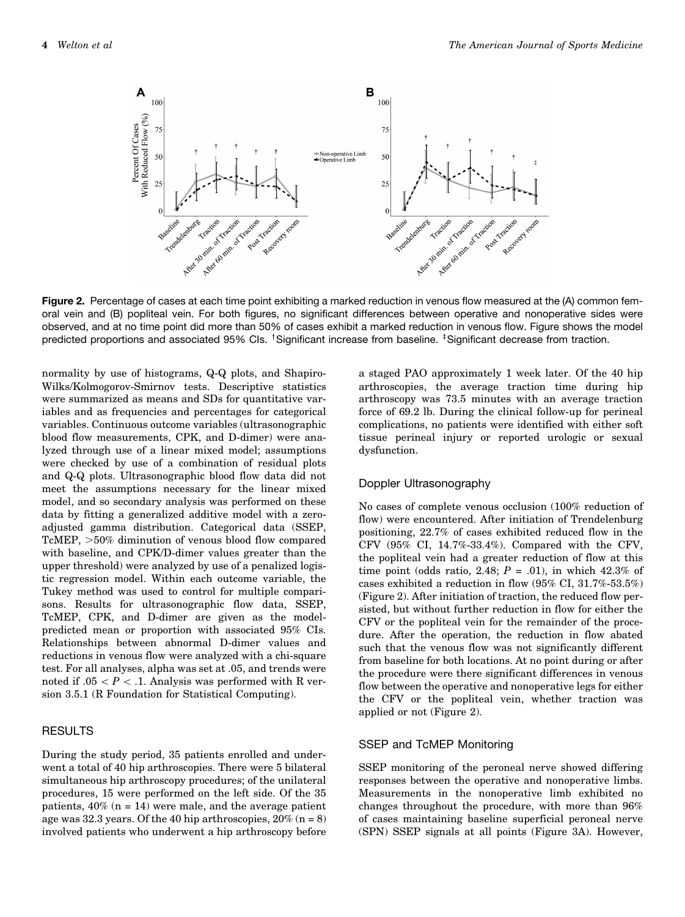

Figure 2. Percentage of cases at each time point exhibiting a marked reduction in venous flow measured at the (A) common femoral vein and (B) popliteal vein. For both figures, no significant differences between operative and nonoperative sides were observed, and at no time point did more than 50% of cases exhibit a marked reduction in venous flow. Figure shows the model predicted proportions and associated 95% Cls. <sup>†</sup>Significant increase from baseline. <sup>‡</sup>Significant decrease from traction.

normality by use of histograms, Q-Q plots, and Shapiro-Wilks/Kolmogorov-Smirnov tests. Descriptive statistics were summarized as means and SDs for quantitative variables and as frequencies and percentages for categorical variables. Continuous outcome variables (ultrasonographic blood flow measurements, CPK, and D-dimer) were analyzed through use of a linear mixed model; assumptions were checked by use of a combination of residual plots and Q-Q plots. Ultrasonographic blood flow data did not meet the assumptions necessary for the linear mixed model, and so secondary analysis was performed on these data by fitting a generalized additive model with a zeroadjusted gamma distribution. Categorical data (SSEP, TcMEP,  $>50\%$  diminution of venous blood flow compared with baseline, and CPK/D-dimer values greater than the upper threshold) were analyzed by use of a penalized logistic regression model. Within each outcome variable, the Tukey method was used to control for multiple comparisons. Results for ultrasonographic flow data, SSEP, TcMEP, CPK, and D-dimer are given as the modelpredicted mean or proportion with associated 95% CIs. Relationships between abnormal D-dimer values and reductions in venous flow were analyzed with a chi-square test. For all analyses, alpha was set at .05, and trends were noted if  $.05 \lt P \lt 0.1$ . Analysis was performed with R version 3.5.1 (R Foundation for Statistical Computing).

#### RESULTS

During the study period, 35 patients enrolled and underwent a total of 40 hip arthroscopies. There were 5 bilateral simultaneous hip arthroscopy procedures; of the unilateral procedures, 15 were performed on the left side. Of the 35 patients,  $40\%$  (n = 14) were male, and the average patient age was 32.3 years. Of the 40 hip arthroscopies,  $20\%$  (n = 8) involved patients who underwent a hip arthroscopy before

a staged PAO approximately 1 week later. Of the 40 hip arthroscopies, the average traction time during hip arthroscopy was 73.5 minutes with an average traction force of 69.2 lb. During the clinical follow-up for perineal complications, no patients were identified with either soft tissue perineal injury or reported urologic or sexual dysfunction.

#### Doppler Ultrasonography

No cases of complete venous occlusion (100% reduction of flow) were encountered. After initiation of Trendelenburg positioning, 22.7% of cases exhibited reduced flow in the CFV (95% CI, 14.7%-33.4%). Compared with the CFV, the popliteal vein had a greater reduction of flow at this time point (odds ratio, 2.48;  $P = .01$ ), in which 42.3% of cases exhibited a reduction in flow (95% CI, 31.7%-53.5%) (Figure 2). After initiation of traction, the reduced flow persisted, but without further reduction in flow for either the CFV or the popliteal vein for the remainder of the procedure. After the operation, the reduction in flow abated such that the venous flow was not significantly different from baseline for both locations. At no point during or after the procedure were there significant differences in venous flow between the operative and nonoperative legs for either the CFV or the popliteal vein, whether traction was applied or not (Figure 2).

#### SSEP and TcMEP Monitoring

SSEP monitoring of the peroneal nerve showed differing responses between the operative and nonoperative limbs. Measurements in the nonoperative limb exhibited no changes throughout the procedure, with more than 96% of cases maintaining baseline superficial peroneal nerve (SPN) SSEP signals at all points (Figure 3A). However,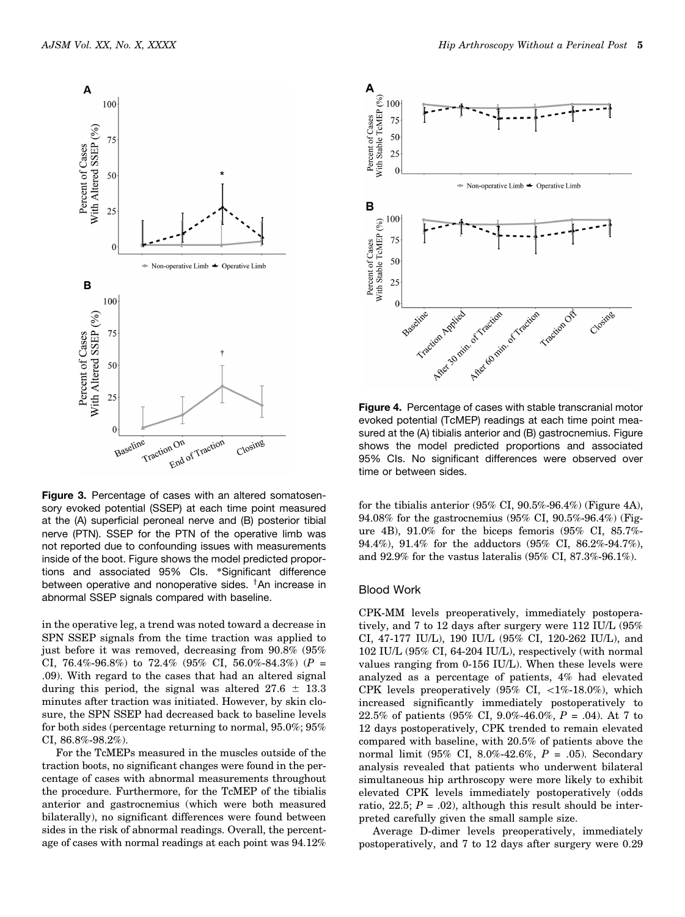

Figure 3. Percentage of cases with an altered somatosensory evoked potential (SSEP) at each time point measured at the (A) superficial peroneal nerve and (B) posterior tibial nerve (PTN). SSEP for the PTN of the operative limb was not reported due to confounding issues with measurements inside of the boot. Figure shows the model predicted proportions and associated 95% CIs. \*Significant difference between operative and nonoperative sides. <sup>†</sup>An increase in abnormal SSEP signals compared with baseline.

in the operative leg, a trend was noted toward a decrease in SPN SSEP signals from the time traction was applied to just before it was removed, decreasing from 90.8% (95% CI, 76.4%-96.8%) to 72.4% (95% CI, 56.0%-84.3%) ( $P =$ .09). With regard to the cases that had an altered signal during this period, the signal was altered  $27.6 \pm 13.3$ minutes after traction was initiated. However, by skin closure, the SPN SSEP had decreased back to baseline levels for both sides (percentage returning to normal, 95.0%; 95% CI, 86.8%-98.2%).

For the TcMEPs measured in the muscles outside of the traction boots, no significant changes were found in the percentage of cases with abnormal measurements throughout the procedure. Furthermore, for the TcMEP of the tibialis anterior and gastrocnemius (which were both measured bilaterally), no significant differences were found between sides in the risk of abnormal readings. Overall, the percentage of cases with normal readings at each point was 94.12%



evoked potential (TcMEP) readings at each time point measured at the (A) tibialis anterior and (B) gastrocnemius. Figure shows the model predicted proportions and associated 95% CIs. No significant differences were observed over time or between sides.

for the tibialis anterior (95% CI, 90.5%-96.4%) (Figure 4A), 94.08% for the gastrocnemius (95% CI, 90.5%-96.4%) (Figure 4B), 91.0% for the biceps femoris (95% CI, 85.7%- 94.4%), 91.4% for the adductors (95% CI, 86.2%-94.7%), and 92.9% for the vastus lateralis (95% CI, 87.3%-96.1%).

#### Blood Work

CPK-MM levels preoperatively, immediately postoperatively, and 7 to 12 days after surgery were 112 IU/L (95% CI, 47-177 IU/L), 190 IU/L (95% CI, 120-262 IU/L), and 102 IU/L (95% CI, 64-204 IU/L), respectively (with normal values ranging from 0-156 IU/L). When these levels were analyzed as a percentage of patients, 4% had elevated CPK levels preoperatively  $(95\% \text{ CI}, \< 1\% - 18.0\%)$ , which increased significantly immediately postoperatively to 22.5% of patients (95% CI, 9.0%-46.0%,  $P = .04$ ). At 7 to 12 days postoperatively, CPK trended to remain elevated compared with baseline, with 20.5% of patients above the normal limit (95% CI, 8.0%-42.6%,  $P = .05$ ). Secondary analysis revealed that patients who underwent bilateral simultaneous hip arthroscopy were more likely to exhibit elevated CPK levels immediately postoperatively (odds ratio, 22.5;  $P = .02$ ), although this result should be interpreted carefully given the small sample size.

Average D-dimer levels preoperatively, immediately postoperatively, and 7 to 12 days after surgery were 0.29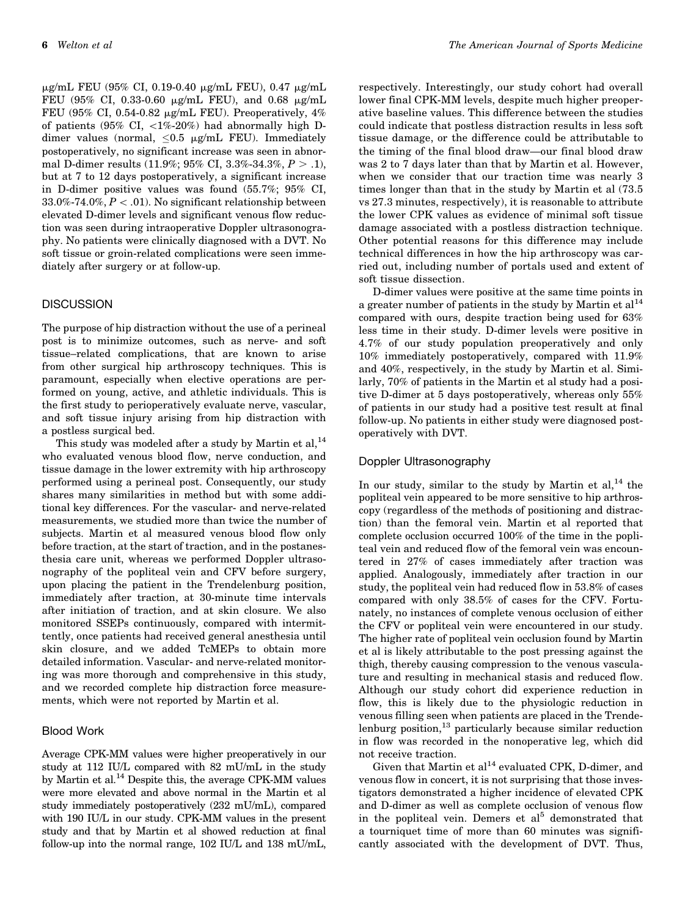mg/mL FEU (95% CI, 0.19-0.40 mg/mL FEU), 0.47 mg/mL FEU (95% CI, 0.33-0.60  $\mu$ g/mL FEU), and 0.68  $\mu$ g/mL FEU (95% CI, 0.54-0.82  $\mu$ g/mL FEU). Preoperatively, 4% of patients (95% CI,  $\langle 1\% - 20\% \rangle$  had abnormally high Ddimer values (normal,  $\leq 0.5$   $\mu$ g/mL FEU). Immediately postoperatively, no significant increase was seen in abnormal D-dimer results (11.9%; 95% CI, 3.3%-34.3%,  $P > .1$ ), but at 7 to 12 days postoperatively, a significant increase in D-dimer positive values was found (55.7%; 95% CI,  $33.0\% -74.0\%, P < .01$ . No significant relationship between elevated D-dimer levels and significant venous flow reduction was seen during intraoperative Doppler ultrasonography. No patients were clinically diagnosed with a DVT. No soft tissue or groin-related complications were seen immediately after surgery or at follow-up.

#### **DISCUSSION**

The purpose of hip distraction without the use of a perineal post is to minimize outcomes, such as nerve- and soft tissue–related complications, that are known to arise from other surgical hip arthroscopy techniques. This is paramount, especially when elective operations are performed on young, active, and athletic individuals. This is the first study to perioperatively evaluate nerve, vascular, and soft tissue injury arising from hip distraction with a postless surgical bed.

This study was modeled after a study by Martin et al,  $^{14}$ who evaluated venous blood flow, nerve conduction, and tissue damage in the lower extremity with hip arthroscopy performed using a perineal post. Consequently, our study shares many similarities in method but with some additional key differences. For the vascular- and nerve-related measurements, we studied more than twice the number of subjects. Martin et al measured venous blood flow only before traction, at the start of traction, and in the postanesthesia care unit, whereas we performed Doppler ultrasonography of the popliteal vein and CFV before surgery, upon placing the patient in the Trendelenburg position, immediately after traction, at 30-minute time intervals after initiation of traction, and at skin closure. We also monitored SSEPs continuously, compared with intermittently, once patients had received general anesthesia until skin closure, and we added TcMEPs to obtain more detailed information. Vascular- and nerve-related monitoring was more thorough and comprehensive in this study, and we recorded complete hip distraction force measurements, which were not reported by Martin et al.

#### Blood Work

Average CPK-MM values were higher preoperatively in our study at 112 IU/L compared with 82 mU/mL in the study by Martin et al.<sup>14</sup> Despite this, the average CPK-MM values were more elevated and above normal in the Martin et al study immediately postoperatively (232 mU/mL), compared with 190 IU/L in our study. CPK-MM values in the present study and that by Martin et al showed reduction at final follow-up into the normal range, 102 IU/L and 138 mU/mL,

respectively. Interestingly, our study cohort had overall lower final CPK-MM levels, despite much higher preoperative baseline values. This difference between the studies could indicate that postless distraction results in less soft tissue damage, or the difference could be attributable to the timing of the final blood draw—our final blood draw was 2 to 7 days later than that by Martin et al. However, when we consider that our traction time was nearly 3 times longer than that in the study by Martin et al (73.5 vs 27.3 minutes, respectively), it is reasonable to attribute the lower CPK values as evidence of minimal soft tissue damage associated with a postless distraction technique. Other potential reasons for this difference may include technical differences in how the hip arthroscopy was carried out, including number of portals used and extent of soft tissue dissection.

D-dimer values were positive at the same time points in a greater number of patients in the study by Martin et  $al<sup>14</sup>$ compared with ours, despite traction being used for 63% less time in their study. D-dimer levels were positive in 4.7% of our study population preoperatively and only 10% immediately postoperatively, compared with 11.9% and 40%, respectively, in the study by Martin et al. Similarly, 70% of patients in the Martin et al study had a positive D-dimer at 5 days postoperatively, whereas only 55% of patients in our study had a positive test result at final follow-up. No patients in either study were diagnosed postoperatively with DVT.

### Doppler Ultrasonography

In our study, similar to the study by Martin et  $al, <sup>14</sup>$  the popliteal vein appeared to be more sensitive to hip arthroscopy (regardless of the methods of positioning and distraction) than the femoral vein. Martin et al reported that complete occlusion occurred 100% of the time in the popliteal vein and reduced flow of the femoral vein was encountered in 27% of cases immediately after traction was applied. Analogously, immediately after traction in our study, the popliteal vein had reduced flow in 53.8% of cases compared with only 38.5% of cases for the CFV. Fortunately, no instances of complete venous occlusion of either the CFV or popliteal vein were encountered in our study. The higher rate of popliteal vein occlusion found by Martin et al is likely attributable to the post pressing against the thigh, thereby causing compression to the venous vasculature and resulting in mechanical stasis and reduced flow. Although our study cohort did experience reduction in flow, this is likely due to the physiologic reduction in venous filling seen when patients are placed in the Trendelenburg position,<sup>13</sup> particularly because similar reduction in flow was recorded in the nonoperative leg, which did not receive traction.

Given that Martin et  $al^{14}$  evaluated CPK, D-dimer, and venous flow in concert, it is not surprising that those investigators demonstrated a higher incidence of elevated CPK and D-dimer as well as complete occlusion of venous flow in the popliteal vein. Demers et  $al<sup>5</sup>$  demonstrated that a tourniquet time of more than 60 minutes was significantly associated with the development of DVT. Thus,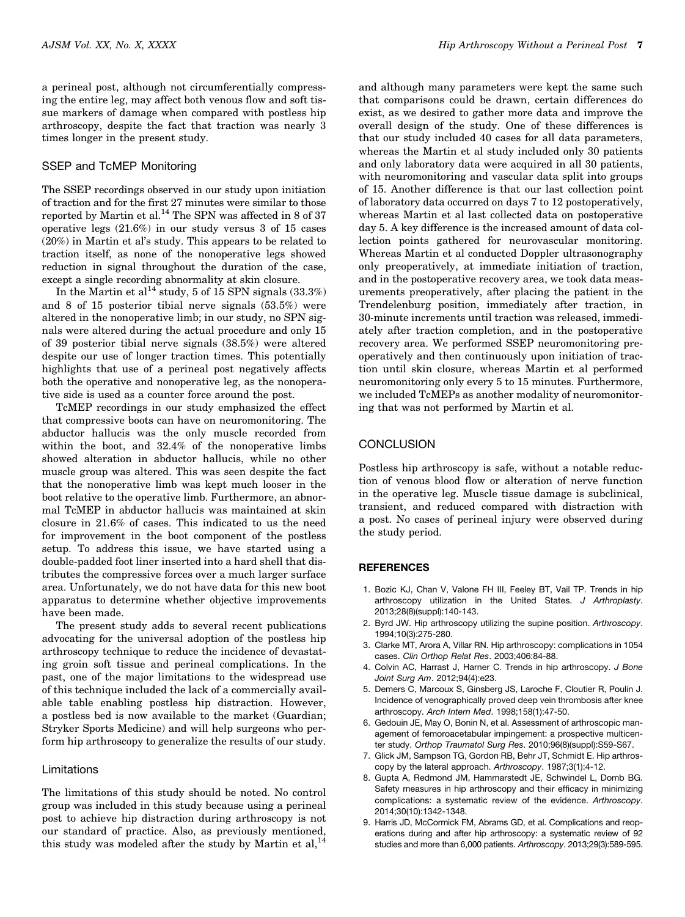a perineal post, although not circumferentially compressing the entire leg, may affect both venous flow and soft tissue markers of damage when compared with postless hip arthroscopy, despite the fact that traction was nearly 3 times longer in the present study.

#### SSEP and TcMEP Monitoring

The SSEP recordings observed in our study upon initiation of traction and for the first 27 minutes were similar to those reported by Martin et al.<sup>14</sup> The SPN was affected in 8 of 37 operative legs (21.6%) in our study versus 3 of 15 cases (20%) in Martin et al's study. This appears to be related to traction itself, as none of the nonoperative legs showed reduction in signal throughout the duration of the case, except a single recording abnormality at skin closure.

In the Martin et al<sup>14</sup> study, 5 of 15 SPN signals  $(33.3\%)$ and 8 of 15 posterior tibial nerve signals (53.5%) were altered in the nonoperative limb; in our study, no SPN signals were altered during the actual procedure and only 15 of 39 posterior tibial nerve signals (38.5%) were altered despite our use of longer traction times. This potentially highlights that use of a perineal post negatively affects both the operative and nonoperative leg, as the nonoperative side is used as a counter force around the post.

TcMEP recordings in our study emphasized the effect that compressive boots can have on neuromonitoring. The abductor hallucis was the only muscle recorded from within the boot, and 32.4% of the nonoperative limbs showed alteration in abductor hallucis, while no other muscle group was altered. This was seen despite the fact that the nonoperative limb was kept much looser in the boot relative to the operative limb. Furthermore, an abnormal TcMEP in abductor hallucis was maintained at skin closure in 21.6% of cases. This indicated to us the need for improvement in the boot component of the postless setup. To address this issue, we have started using a double-padded foot liner inserted into a hard shell that distributes the compressive forces over a much larger surface area. Unfortunately, we do not have data for this new boot apparatus to determine whether objective improvements have been made.

The present study adds to several recent publications advocating for the universal adoption of the postless hip arthroscopy technique to reduce the incidence of devastating groin soft tissue and perineal complications. In the past, one of the major limitations to the widespread use of this technique included the lack of a commercially available table enabling postless hip distraction. However, a postless bed is now available to the market (Guardian; Stryker Sports Medicine) and will help surgeons who perform hip arthroscopy to generalize the results of our study.

#### Limitations

The limitations of this study should be noted. No control group was included in this study because using a perineal post to achieve hip distraction during arthroscopy is not our standard of practice. Also, as previously mentioned, this study was modeled after the study by Martin et al,  $^{14}$ 

and although many parameters were kept the same such that comparisons could be drawn, certain differences do exist, as we desired to gather more data and improve the overall design of the study. One of these differences is that our study included 40 cases for all data parameters, whereas the Martin et al study included only 30 patients and only laboratory data were acquired in all 30 patients, with neuromonitoring and vascular data split into groups of 15. Another difference is that our last collection point of laboratory data occurred on days 7 to 12 postoperatively, whereas Martin et al last collected data on postoperative day 5. A key difference is the increased amount of data collection points gathered for neurovascular monitoring. Whereas Martin et al conducted Doppler ultrasonography only preoperatively, at immediate initiation of traction, and in the postoperative recovery area, we took data measurements preoperatively, after placing the patient in the Trendelenburg position, immediately after traction, in 30-minute increments until traction was released, immediately after traction completion, and in the postoperative recovery area. We performed SSEP neuromonitoring preoperatively and then continuously upon initiation of traction until skin closure, whereas Martin et al performed neuromonitoring only every 5 to 15 minutes. Furthermore, we included TcMEPs as another modality of neuromonitoring that was not performed by Martin et al.

#### **CONCLUSION**

Postless hip arthroscopy is safe, without a notable reduction of venous blood flow or alteration of nerve function in the operative leg. Muscle tissue damage is subclinical, transient, and reduced compared with distraction with a post. No cases of perineal injury were observed during the study period.

#### REFERENCES

- 1. Bozic KJ, Chan V, Valone FH III, Feeley BT, Vail TP. Trends in hip arthroscopy utilization in the United States. *J Arthroplasty*. 2013;28(8)(suppl):140-143.
- 2. Byrd JW. Hip arthroscopy utilizing the supine position. *Arthroscopy*. 1994;10(3):275-280.
- 3. Clarke MT, Arora A, Villar RN. Hip arthroscopy: complications in 1054 cases. *Clin Orthop Relat Res*. 2003;406:84-88.
- 4. Colvin AC, Harrast J, Harner C. Trends in hip arthroscopy. *J Bone Joint Surg Am*. 2012;94(4):e23.
- 5. Demers C, Marcoux S, Ginsberg JS, Laroche F, Cloutier R, Poulin J. Incidence of venographically proved deep vein thrombosis after knee arthroscopy. *Arch Intern Med*. 1998;158(1):47-50.
- 6. Gedouin JE, May O, Bonin N, et al. Assessment of arthroscopic management of femoroacetabular impingement: a prospective multicenter study. *Orthop Traumatol Surg Res*. 2010;96(8)(suppl):S59-S67.
- 7. Glick JM, Sampson TG, Gordon RB, Behr JT, Schmidt E. Hip arthroscopy by the lateral approach. *Arthroscopy*. 1987;3(1):4-12.
- 8. Gupta A, Redmond JM, Hammarstedt JE, Schwindel L, Domb BG. Safety measures in hip arthroscopy and their efficacy in minimizing complications: a systematic review of the evidence. *Arthroscopy*. 2014;30(10):1342-1348.
- 9. Harris JD, McCormick FM, Abrams GD, et al. Complications and reoperations during and after hip arthroscopy: a systematic review of 92 studies and more than 6,000 patients. *Arthroscopy*. 2013;29(3):589-595.